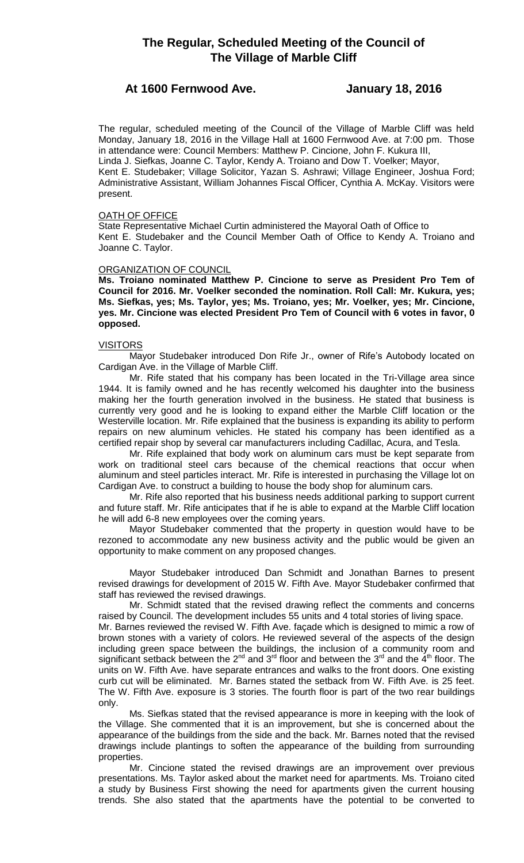# **The Regular, Scheduled Meeting of the Council of The Village of Marble Cliff**

## **At 1600 Fernwood Ave. January 18, 2016**

The regular, scheduled meeting of the Council of the Village of Marble Cliff was held Monday, January 18, 2016 in the Village Hall at 1600 Fernwood Ave. at 7:00 pm. Those in attendance were: Council Members: Matthew P. Cincione, John F. Kukura III, Linda J. Siefkas, Joanne C. Taylor, Kendy A. Troiano and Dow T. Voelker; Mayor, Kent E. Studebaker; Village Solicitor, Yazan S. Ashrawi; Village Engineer, Joshua Ford; Administrative Assistant, William Johannes Fiscal Officer, Cynthia A. McKay. Visitors were present.

### OATH OF OFFICE

State Representative Michael Curtin administered the Mayoral Oath of Office to Kent E. Studebaker and the Council Member Oath of Office to Kendy A. Troiano and Joanne C. Taylor.

### ORGANIZATION OF COUNCIL

**Ms. Troiano nominated Matthew P. Cincione to serve as President Pro Tem of Council for 2016. Mr. Voelker seconded the nomination. Roll Call: Mr. Kukura, yes; Ms. Siefkas, yes; Ms. Taylor, yes; Ms. Troiano, yes; Mr. Voelker, yes; Mr. Cincione, yes. Mr. Cincione was elected President Pro Tem of Council with 6 votes in favor, 0 opposed.**

### VISITORS

Mayor Studebaker introduced Don Rife Jr., owner of Rife's Autobody located on Cardigan Ave. in the Village of Marble Cliff.

Mr. Rife stated that his company has been located in the Tri-Village area since 1944. It is family owned and he has recently welcomed his daughter into the business making her the fourth generation involved in the business. He stated that business is currently very good and he is looking to expand either the Marble Cliff location or the Westerville location. Mr. Rife explained that the business is expanding its ability to perform repairs on new aluminum vehicles. He stated his company has been identified as a certified repair shop by several car manufacturers including Cadillac, Acura, and Tesla.

Mr. Rife explained that body work on aluminum cars must be kept separate from work on traditional steel cars because of the chemical reactions that occur when aluminum and steel particles interact. Mr. Rife is interested in purchasing the Village lot on Cardigan Ave. to construct a building to house the body shop for aluminum cars.

Mr. Rife also reported that his business needs additional parking to support current and future staff. Mr. Rife anticipates that if he is able to expand at the Marble Cliff location he will add 6-8 new employees over the coming years.

Mayor Studebaker commented that the property in question would have to be rezoned to accommodate any new business activity and the public would be given an opportunity to make comment on any proposed changes.

Mayor Studebaker introduced Dan Schmidt and Jonathan Barnes to present revised drawings for development of 2015 W. Fifth Ave. Mayor Studebaker confirmed that staff has reviewed the revised drawings.

Mr. Schmidt stated that the revised drawing reflect the comments and concerns raised by Council. The development includes 55 units and 4 total stories of living space.

Mr. Barnes reviewed the revised W. Fifth Ave. façade which is designed to mimic a row of brown stones with a variety of colors. He reviewed several of the aspects of the design including green space between the buildings, the inclusion of a community room and significant setback between the 2<sup>nd</sup> and 3<sup>rd</sup> floor and between the 3<sup>rd</sup> and the  $4<sup>th</sup>$  floor. The units on W. Fifth Ave. have separate entrances and walks to the front doors. One existing curb cut will be eliminated. Mr. Barnes stated the setback from W. Fifth Ave. is 25 feet. The W. Fifth Ave. exposure is 3 stories. The fourth floor is part of the two rear buildings only.

Ms. Siefkas stated that the revised appearance is more in keeping with the look of the Village. She commented that it is an improvement, but she is concerned about the appearance of the buildings from the side and the back. Mr. Barnes noted that the revised drawings include plantings to soften the appearance of the building from surrounding properties.

Mr. Cincione stated the revised drawings are an improvement over previous presentations. Ms. Taylor asked about the market need for apartments. Ms. Troiano cited a study by Business First showing the need for apartments given the current housing trends. She also stated that the apartments have the potential to be converted to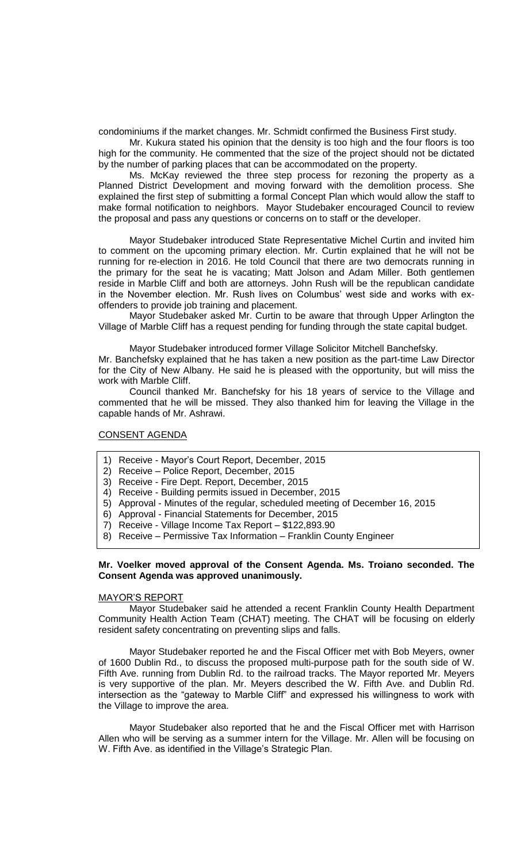condominiums if the market changes. Mr. Schmidt confirmed the Business First study.

Mr. Kukura stated his opinion that the density is too high and the four floors is too high for the community. He commented that the size of the project should not be dictated by the number of parking places that can be accommodated on the property.

Ms. McKay reviewed the three step process for rezoning the property as a Planned District Development and moving forward with the demolition process. She explained the first step of submitting a formal Concept Plan which would allow the staff to make formal notification to neighbors. Mayor Studebaker encouraged Council to review the proposal and pass any questions or concerns on to staff or the developer.

Mayor Studebaker introduced State Representative Michel Curtin and invited him to comment on the upcoming primary election. Mr. Curtin explained that he will not be running for re-election in 2016. He told Council that there are two democrats running in the primary for the seat he is vacating; Matt Jolson and Adam Miller. Both gentlemen reside in Marble Cliff and both are attorneys. John Rush will be the republican candidate in the November election. Mr. Rush lives on Columbus' west side and works with exoffenders to provide job training and placement.

Mayor Studebaker asked Mr. Curtin to be aware that through Upper Arlington the Village of Marble Cliff has a request pending for funding through the state capital budget.

Mayor Studebaker introduced former Village Solicitor Mitchell Banchefsky. Mr. Banchefsky explained that he has taken a new position as the part-time Law Director for the City of New Albany. He said he is pleased with the opportunity, but will miss the work with Marble Cliff.

Council thanked Mr. Banchefsky for his 18 years of service to the Village and commented that he will be missed. They also thanked him for leaving the Village in the capable hands of Mr. Ashrawi.

### CONSENT AGENDA

- 1) Receive Mayor's Court Report, December, 2015
- 2) Receive Police Report, December, 2015
- 3) Receive Fire Dept. Report, December, 2015
- 4) Receive Building permits issued in December, 2015
- 5) Approval Minutes of the regular, scheduled meeting of December 16, 2015
- 6) Approval Financial Statements for December, 2015
- 7) Receive Village Income Tax Report \$122,893.90
- 8) Receive Permissive Tax Information Franklin County Engineer

### **Mr. Voelker moved approval of the Consent Agenda. Ms. Troiano seconded. The Consent Agenda was approved unanimously.**

### MAYOR'S REPORT

Mayor Studebaker said he attended a recent Franklin County Health Department Community Health Action Team (CHAT) meeting. The CHAT will be focusing on elderly resident safety concentrating on preventing slips and falls.

Mayor Studebaker reported he and the Fiscal Officer met with Bob Meyers, owner of 1600 Dublin Rd., to discuss the proposed multi-purpose path for the south side of W. Fifth Ave. running from Dublin Rd. to the railroad tracks. The Mayor reported Mr. Meyers is very supportive of the plan. Mr. Meyers described the W. Fifth Ave. and Dublin Rd. intersection as the "gateway to Marble Cliff" and expressed his willingness to work with the Village to improve the area.

Mayor Studebaker also reported that he and the Fiscal Officer met with Harrison Allen who will be serving as a summer intern for the Village. Mr. Allen will be focusing on W. Fifth Ave. as identified in the Village's Strategic Plan.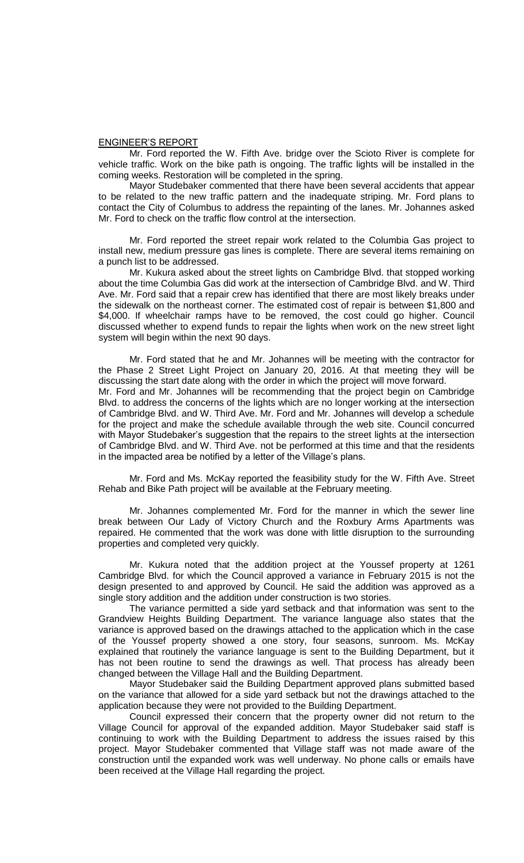#### ENGINEER'S REPORT

Mr. Ford reported the W. Fifth Ave. bridge over the Scioto River is complete for vehicle traffic. Work on the bike path is ongoing. The traffic lights will be installed in the coming weeks. Restoration will be completed in the spring.

Mayor Studebaker commented that there have been several accidents that appear to be related to the new traffic pattern and the inadequate striping. Mr. Ford plans to contact the City of Columbus to address the repainting of the lanes. Mr. Johannes asked Mr. Ford to check on the traffic flow control at the intersection.

Mr. Ford reported the street repair work related to the Columbia Gas project to install new, medium pressure gas lines is complete. There are several items remaining on a punch list to be addressed.

Mr. Kukura asked about the street lights on Cambridge Blvd. that stopped working about the time Columbia Gas did work at the intersection of Cambridge Blvd. and W. Third Ave. Mr. Ford said that a repair crew has identified that there are most likely breaks under the sidewalk on the northeast corner. The estimated cost of repair is between \$1,800 and \$4,000. If wheelchair ramps have to be removed, the cost could go higher. Council discussed whether to expend funds to repair the lights when work on the new street light system will begin within the next 90 days.

Mr. Ford stated that he and Mr. Johannes will be meeting with the contractor for the Phase 2 Street Light Project on January 20, 2016. At that meeting they will be discussing the start date along with the order in which the project will move forward. Mr. Ford and Mr. Johannes will be recommending that the project begin on Cambridge Blvd. to address the concerns of the lights which are no longer working at the intersection of Cambridge Blvd. and W. Third Ave. Mr. Ford and Mr. Johannes will develop a schedule for the project and make the schedule available through the web site. Council concurred with Mayor Studebaker's suggestion that the repairs to the street lights at the intersection of Cambridge Blvd. and W. Third Ave. not be performed at this time and that the residents in the impacted area be notified by a letter of the Village's plans.

Mr. Ford and Ms. McKay reported the feasibility study for the W. Fifth Ave. Street Rehab and Bike Path project will be available at the February meeting.

Mr. Johannes complemented Mr. Ford for the manner in which the sewer line break between Our Lady of Victory Church and the Roxbury Arms Apartments was repaired. He commented that the work was done with little disruption to the surrounding properties and completed very quickly.

Mr. Kukura noted that the addition project at the Youssef property at 1261 Cambridge Blvd. for which the Council approved a variance in February 2015 is not the design presented to and approved by Council. He said the addition was approved as a single story addition and the addition under construction is two stories.

The variance permitted a side yard setback and that information was sent to the Grandview Heights Building Department. The variance language also states that the variance is approved based on the drawings attached to the application which in the case of the Youssef property showed a one story, four seasons, sunroom. Ms. McKay explained that routinely the variance language is sent to the Building Department, but it has not been routine to send the drawings as well. That process has already been changed between the Village Hall and the Building Department.

Mayor Studebaker said the Building Department approved plans submitted based on the variance that allowed for a side yard setback but not the drawings attached to the application because they were not provided to the Building Department.

Council expressed their concern that the property owner did not return to the Village Council for approval of the expanded addition. Mayor Studebaker said staff is continuing to work with the Building Department to address the issues raised by this project. Mayor Studebaker commented that Village staff was not made aware of the construction until the expanded work was well underway. No phone calls or emails have been received at the Village Hall regarding the project.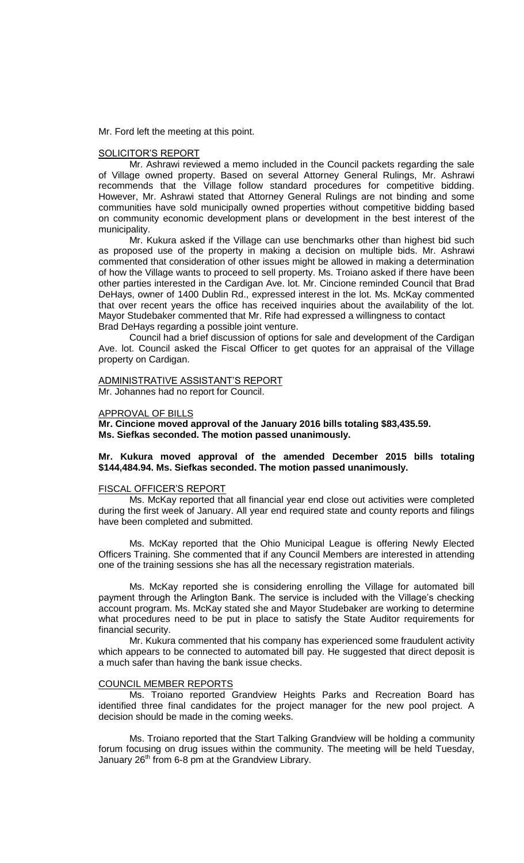Mr. Ford left the meeting at this point.

### SOLICITOR'S REPORT

Mr. Ashrawi reviewed a memo included in the Council packets regarding the sale of Village owned property. Based on several Attorney General Rulings, Mr. Ashrawi recommends that the Village follow standard procedures for competitive bidding. However, Mr. Ashrawi stated that Attorney General Rulings are not binding and some communities have sold municipally owned properties without competitive bidding based on community economic development plans or development in the best interest of the municipality.

Mr. Kukura asked if the Village can use benchmarks other than highest bid such as proposed use of the property in making a decision on multiple bids. Mr. Ashrawi commented that consideration of other issues might be allowed in making a determination of how the Village wants to proceed to sell property. Ms. Troiano asked if there have been other parties interested in the Cardigan Ave. lot. Mr. Cincione reminded Council that Brad DeHays, owner of 1400 Dublin Rd., expressed interest in the lot. Ms. McKay commented that over recent years the office has received inquiries about the availability of the lot. Mayor Studebaker commented that Mr. Rife had expressed a willingness to contact Brad DeHays regarding a possible joint venture.

Council had a brief discussion of options for sale and development of the Cardigan Ave. lot. Council asked the Fiscal Officer to get quotes for an appraisal of the Village property on Cardigan.

### ADMINISTRATIVE ASSISTANT'S REPORT Mr. Johannes had no report for Council.

### APPROVAL OF BILLS

**Mr. Cincione moved approval of the January 2016 bills totaling \$83,435.59. Ms. Siefkas seconded. The motion passed unanimously.**

### **Mr. Kukura moved approval of the amended December 2015 bills totaling \$144,484.94. Ms. Siefkas seconded. The motion passed unanimously.**

#### FISCAL OFFICER'S REPORT

Ms. McKay reported that all financial year end close out activities were completed during the first week of January. All year end required state and county reports and filings have been completed and submitted.

Ms. McKay reported that the Ohio Municipal League is offering Newly Elected Officers Training. She commented that if any Council Members are interested in attending one of the training sessions she has all the necessary registration materials.

Ms. McKay reported she is considering enrolling the Village for automated bill payment through the Arlington Bank. The service is included with the Village's checking account program. Ms. McKay stated she and Mayor Studebaker are working to determine what procedures need to be put in place to satisfy the State Auditor requirements for financial security.

Mr. Kukura commented that his company has experienced some fraudulent activity which appears to be connected to automated bill pay. He suggested that direct deposit is a much safer than having the bank issue checks.

#### COUNCIL MEMBER REPORTS

Ms. Troiano reported Grandview Heights Parks and Recreation Board has identified three final candidates for the project manager for the new pool project. A decision should be made in the coming weeks.

Ms. Troiano reported that the Start Talking Grandview will be holding a community forum focusing on drug issues within the community. The meeting will be held Tuesday, January  $26<sup>th</sup>$  from 6-8 pm at the Grandview Library.